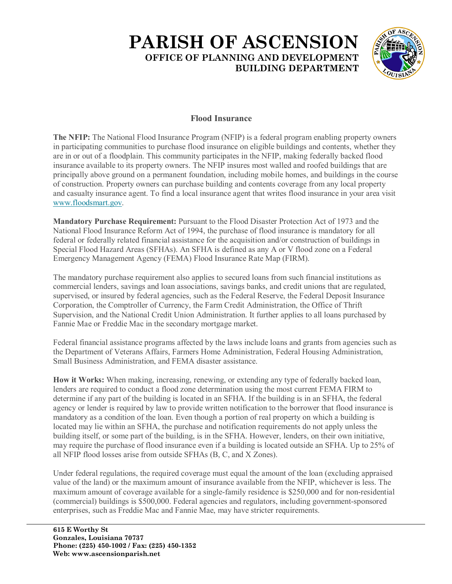## **PARISH OF ASCENSION OFFICE OF PLANNING AND DEVELOPMENT BUILDING DEPARTMENT**



## **Flood Insurance**

**The NFIP:** The National Flood Insurance Program (NFIP) is a federal program enabling property owners in participating communities to purchase flood insurance on eligible buildings and contents, whether they are in or out of a floodplain. This community participates in the NFIP, making federally backed flood insurance available to its property owners. The NFIP insures most walled and roofed buildings that are principally above ground on a permanent foundation, including mobile homes, and buildings in the course of construction. Property owners can purchase building and contents coverage from any local property and casualty insurance agent. To find a local insurance agent that writes flood insurance in your area visit [www.floodsmart.gov.](https://www.floodsmart.gov/)

**Mandatory Purchase Requirement:** Pursuant to the Flood Disaster Protection Act of 1973 and the National Flood Insurance Reform Act of 1994, the purchase of flood insurance is mandatory for all federal or federally related financial assistance for the acquisition and/or construction of buildings in Special Flood Hazard Areas (SFHAs). An SFHA is defined as any A or V flood zone on a Federal Emergency Management Agency (FEMA) Flood Insurance Rate Map (FIRM).

The mandatory purchase requirement also applies to secured loans from such financial institutions as commercial lenders, savings and loan associations, savings banks, and credit unions that are regulated, supervised, or insured by federal agencies, such as the Federal Reserve, the Federal Deposit Insurance Corporation, the Comptroller of Currency, the Farm Credit Administration, the Office of Thrift Supervision, and the National Credit Union Administration. It further applies to all loans purchased by Fannie Mae or Freddie Mac in the secondary mortgage market.

Federal financial assistance programs affected by the laws include loans and grants from agencies such as the Department of Veterans Affairs, Farmers Home Administration, Federal Housing Administration, Small Business Administration, and FEMA disaster assistance.

**How it Works:** When making, increasing, renewing, or extending any type of federally backed loan, lenders are required to conduct a flood zone determination using the most current FEMA FIRM to determine if any part of the building is located in an SFHA. If the building is in an SFHA, the federal agency or lender is required by law to provide written notification to the borrower that flood insurance is mandatory as a condition of the loan. Even though a portion of real property on which a building is located may lie within an SFHA, the purchase and notification requirements do not apply unless the building itself, or some part of the building, is in the SFHA. However, lenders, on their own initiative, may require the purchase of flood insurance even if a building is located outside an SFHA. Up to 25% of all NFIP flood losses arise from outside SFHAs (B, C, and X Zones).

Under federal regulations, the required coverage must equal the amount of the loan (excluding appraised value of the land) or the maximum amount of insurance available from the NFIP, whichever is less. The maximum amount of coverage available for a single-family residence is \$250,000 and for non-residential (commercial) buildings is \$500,000. Federal agencies and regulators, including government-sponsored enterprises, such as Freddie Mac and Fannie Mae, may have stricter requirements.